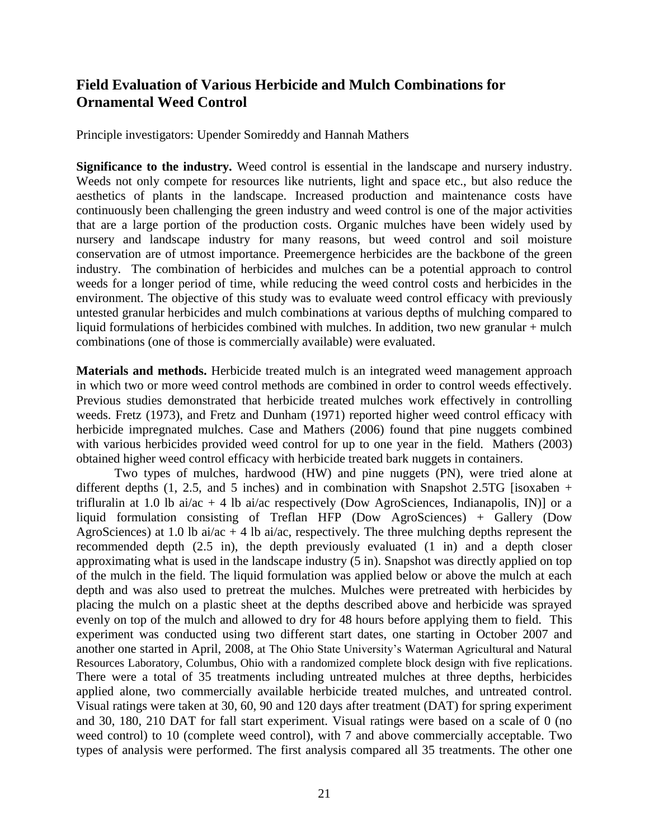## **Field Evaluation of Various Herbicide and Mulch Combinations for Ornamental Weed Control**

Principle investigators: Upender Somireddy and Hannah Mathers

**Significance to the industry.** Weed control is essential in the landscape and nursery industry. Weeds not only compete for resources like nutrients, light and space etc., but also reduce the aesthetics of plants in the landscape. Increased production and maintenance costs have continuously been challenging the green industry and weed control is one of the major activities that are a large portion of the production costs. Organic mulches have been widely used by nursery and landscape industry for many reasons, but weed control and soil moisture conservation are of utmost importance. Preemergence herbicides are the backbone of the green industry. The combination of herbicides and mulches can be a potential approach to control weeds for a longer period of time, while reducing the weed control costs and herbicides in the environment. The objective of this study was to evaluate weed control efficacy with previously untested granular herbicides and mulch combinations at various depths of mulching compared to liquid formulations of herbicides combined with mulches. In addition, two new granular + mulch combinations (one of those is commercially available) were evaluated.

**Materials and methods.** Herbicide treated mulch is an integrated weed management approach in which two or more weed control methods are combined in order to control weeds effectively. Previous studies demonstrated that herbicide treated mulches work effectively in controlling weeds. Fretz (1973), and Fretz and Dunham (1971) reported higher weed control efficacy with herbicide impregnated mulches. Case and Mathers (2006) found that pine nuggets combined with various herbicides provided weed control for up to one year in the field. Mathers (2003) obtained higher weed control efficacy with herbicide treated bark nuggets in containers.

Two types of mulches, hardwood (HW) and pine nuggets (PN), were tried alone at different depths (1, 2.5, and 5 inches) and in combination with Snapshot 2.5TG [isoxaben + trifluralin at 1.0 lb ai/ac + 4 lb ai/ac respectively (Dow AgroSciences, Indianapolis, IN)] or a liquid formulation consisting of Treflan HFP (Dow AgroSciences) + Gallery (Dow AgroSciences) at 1.0 lb ai/ac + 4 lb ai/ac, respectively. The three mulching depths represent the recommended depth (2.5 in), the depth previously evaluated (1 in) and a depth closer approximating what is used in the landscape industry (5 in). Snapshot was directly applied on top of the mulch in the field. The liquid formulation was applied below or above the mulch at each depth and was also used to pretreat the mulches. Mulches were pretreated with herbicides by placing the mulch on a plastic sheet at the depths described above and herbicide was sprayed evenly on top of the mulch and allowed to dry for 48 hours before applying them to field. This experiment was conducted using two different start dates, one starting in October 2007 and another one started in April, 2008, at The Ohio State University's Waterman Agricultural and Natural Resources Laboratory, Columbus, Ohio with a randomized complete block design with five replications. There were a total of 35 treatments including untreated mulches at three depths, herbicides applied alone, two commercially available herbicide treated mulches, and untreated control. Visual ratings were taken at 30, 60, 90 and 120 days after treatment (DAT) for spring experiment and 30, 180, 210 DAT for fall start experiment. Visual ratings were based on a scale of 0 (no weed control) to 10 (complete weed control), with 7 and above commercially acceptable. Two types of analysis were performed. The first analysis compared all 35 treatments. The other one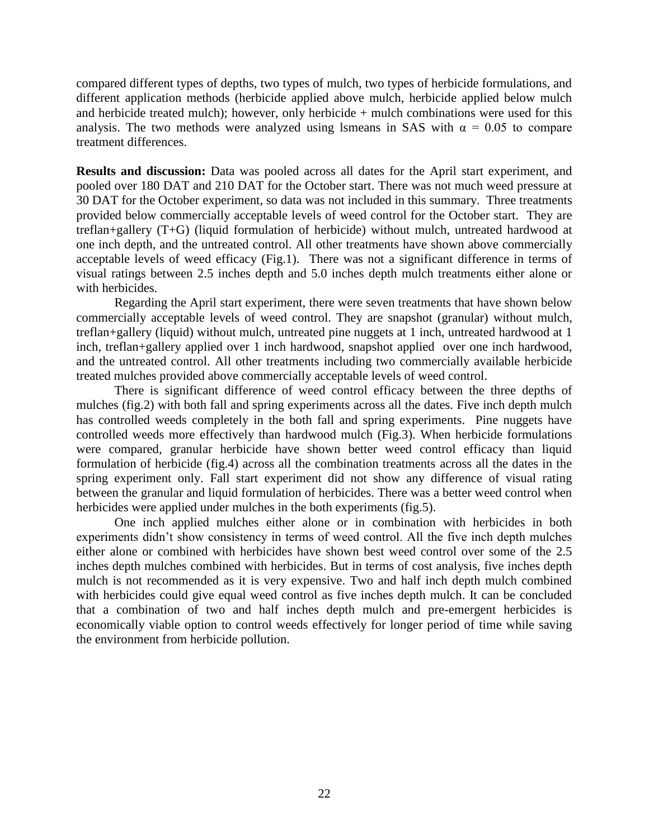compared different types of depths, two types of mulch, two types of herbicide formulations, and different application methods (herbicide applied above mulch, herbicide applied below mulch and herbicide treated mulch); however, only herbicide  $+$  mulch combinations were used for this analysis. The two methods were analyzed using lsmeans in SAS with  $\alpha = 0.05$  to compare treatment differences.

**Results and discussion:** Data was pooled across all dates for the April start experiment, and pooled over 180 DAT and 210 DAT for the October start. There was not much weed pressure at 30 DAT for the October experiment, so data was not included in this summary. Three treatments provided below commercially acceptable levels of weed control for the October start. They are treflan+gallery (T+G) (liquid formulation of herbicide) without mulch, untreated hardwood at one inch depth, and the untreated control. All other treatments have shown above commercially acceptable levels of weed efficacy (Fig.1). There was not a significant difference in terms of visual ratings between 2.5 inches depth and 5.0 inches depth mulch treatments either alone or with herbicides.

Regarding the April start experiment, there were seven treatments that have shown below commercially acceptable levels of weed control. They are snapshot (granular) without mulch, treflan+gallery (liquid) without mulch, untreated pine nuggets at 1 inch, untreated hardwood at 1 inch, treflan+gallery applied over 1 inch hardwood, snapshot applied over one inch hardwood, and the untreated control. All other treatments including two commercially available herbicide treated mulches provided above commercially acceptable levels of weed control.

There is significant difference of weed control efficacy between the three depths of mulches (fig.2) with both fall and spring experiments across all the dates. Five inch depth mulch has controlled weeds completely in the both fall and spring experiments. Pine nuggets have controlled weeds more effectively than hardwood mulch (Fig.3). When herbicide formulations were compared, granular herbicide have shown better weed control efficacy than liquid formulation of herbicide (fig.4) across all the combination treatments across all the dates in the spring experiment only. Fall start experiment did not show any difference of visual rating between the granular and liquid formulation of herbicides. There was a better weed control when herbicides were applied under mulches in the both experiments (fig.5).

One inch applied mulches either alone or in combination with herbicides in both experiments didn't show consistency in terms of weed control. All the five inch depth mulches either alone or combined with herbicides have shown best weed control over some of the 2.5 inches depth mulches combined with herbicides. But in terms of cost analysis, five inches depth mulch is not recommended as it is very expensive. Two and half inch depth mulch combined with herbicides could give equal weed control as five inches depth mulch. It can be concluded that a combination of two and half inches depth mulch and pre-emergent herbicides is economically viable option to control weeds effectively for longer period of time while saving the environment from herbicide pollution.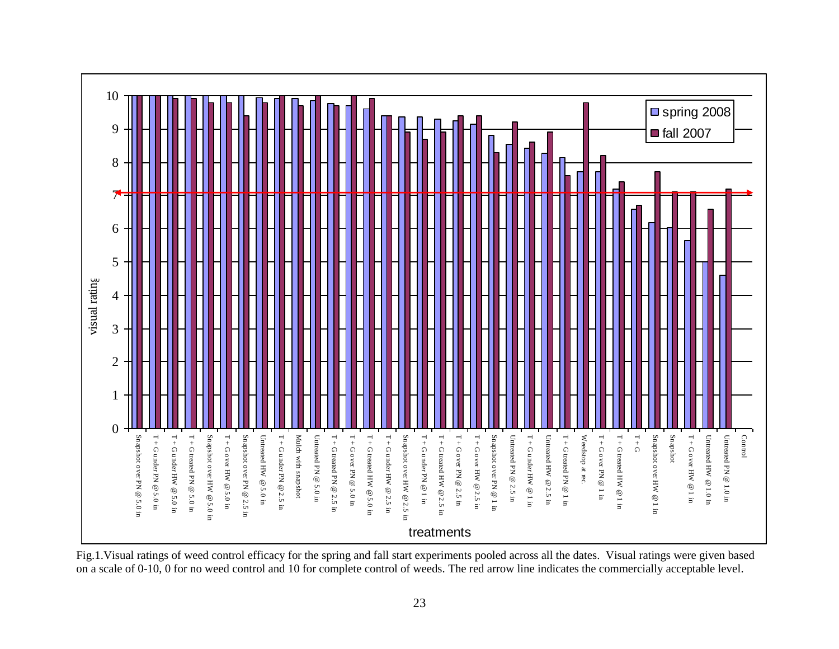

Fig.1.Visual ratings of weed control efficacy for the spring and fall start experiments pooled across all the dates. Visual ratings were given based on a scale of 0-10, 0 for no weed control and 10 for complete control of weeds. The red arrow line indicates the commercially acceptable level.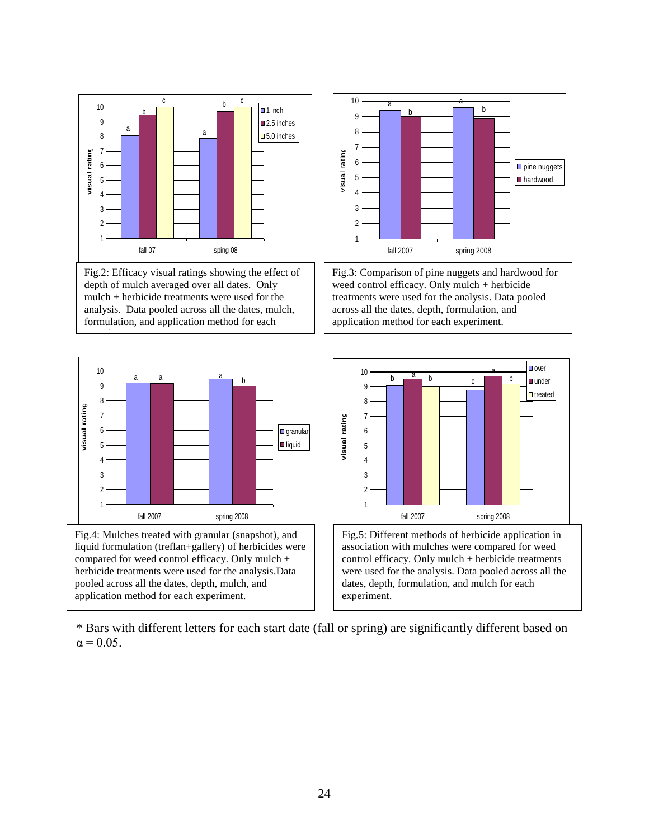



liquid formulation (treflan+gallery) of herbicides were compared for weed control efficacy. Only mulch + herbicide treatments were used for the analysis.Data pooled across all the dates, depth, mulch, and application method for each experiment.





\* Bars with different letters for each start date (fall or spring) are significantly different based on  $\alpha$  = 0.05.